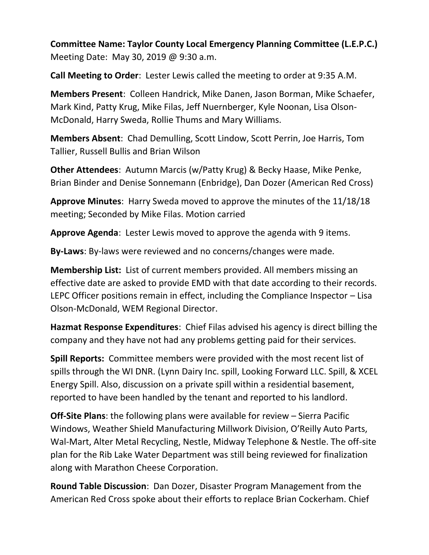**Committee Name: Taylor County Local Emergency Planning Committee (L.E.P.C.)**  Meeting Date: May 30, 2019 @ 9:30 a.m.

**Call Meeting to Order**: Lester Lewis called the meeting to order at 9:35 A.M.

**Members Present**: Colleen Handrick, Mike Danen, Jason Borman, Mike Schaefer, Mark Kind, Patty Krug, Mike Filas, Jeff Nuernberger, Kyle Noonan, Lisa Olson-McDonald, Harry Sweda, Rollie Thums and Mary Williams.

**Members Absent**: Chad Demulling, Scott Lindow, Scott Perrin, Joe Harris, Tom Tallier, Russell Bullis and Brian Wilson

**Other Attendees**: Autumn Marcis (w/Patty Krug) & Becky Haase, Mike Penke, Brian Binder and Denise Sonnemann (Enbridge), Dan Dozer (American Red Cross)

**Approve Minutes**: Harry Sweda moved to approve the minutes of the 11/18/18 meeting; Seconded by Mike Filas. Motion carried

**Approve Agenda**: Lester Lewis moved to approve the agenda with 9 items.

**By-Laws**: By-laws were reviewed and no concerns/changes were made.

**Membership List:** List of current members provided. All members missing an effective date are asked to provide EMD with that date according to their records. LEPC Officer positions remain in effect, including the Compliance Inspector – Lisa Olson-McDonald, WEM Regional Director.

**Hazmat Response Expenditures**: Chief Filas advised his agency is direct billing the company and they have not had any problems getting paid for their services.

**Spill Reports:** Committee members were provided with the most recent list of spills through the WI DNR. (Lynn Dairy Inc. spill, Looking Forward LLC. Spill, & XCEL Energy Spill. Also, discussion on a private spill within a residential basement, reported to have been handled by the tenant and reported to his landlord.

**Off-Site Plans**: the following plans were available for review – Sierra Pacific Windows, Weather Shield Manufacturing Millwork Division, O'Reilly Auto Parts, Wal-Mart, Alter Metal Recycling, Nestle, Midway Telephone & Nestle. The off-site plan for the Rib Lake Water Department was still being reviewed for finalization along with Marathon Cheese Corporation.

**Round Table Discussion**: Dan Dozer, Disaster Program Management from the American Red Cross spoke about their efforts to replace Brian Cockerham. Chief